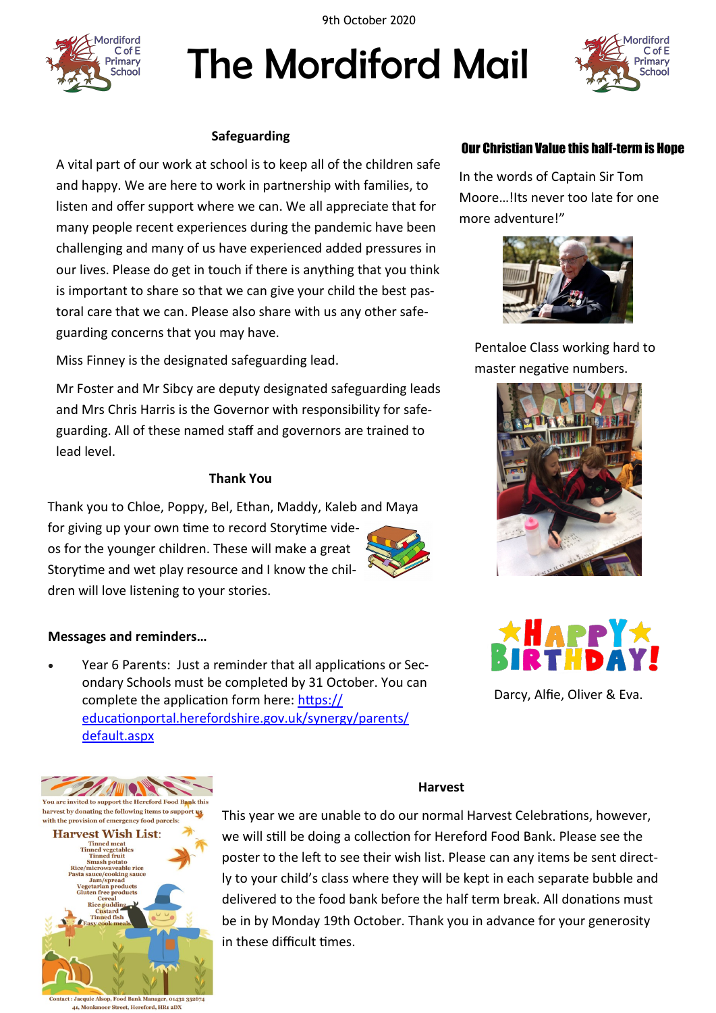9th October 2020



# The Mordiford Mail



# **Safeguarding**

A vital part of our work at school is to keep all of the children safe and happy. We are here to work in partnership with families, to listen and offer support where we can. We all appreciate that for many people recent experiences during the pandemic have been challenging and many of us have experienced added pressures in our lives. Please do get in touch if there is anything that you think is important to share so that we can give your child the best pastoral care that we can. Please also share with us any other safeguarding concerns that you may have.

Miss Finney is the designated safeguarding lead.

Mr Foster and Mr Sibcy are deputy designated safeguarding leads and Mrs Chris Harris is the Governor with responsibility for safeguarding. All of these named staff and governors are trained to lead level.

# **Thank You**

Thank you to Chloe, Poppy, Bel, Ethan, Maddy, Kaleb and Maya for giving up your own time to record Storytime videos for the younger children. These will make a great Storytime and wet play resource and I know the children will love listening to your stories.

# **Messages and reminders…**

 Year 6 Parents: Just a reminder that all applications or Secondary Schools must be completed by 31 October. You can complete the application form here: [https://](https://educationportal.herefordshire.gov.uk/synergy/parents/default.aspx) [educationportal.herefordshire.gov.uk/synergy/parents/](https://educationportal.herefordshire.gov.uk/synergy/parents/default.aspx) [default.aspx](https://educationportal.herefordshire.gov.uk/synergy/parents/default.aspx)



quie Alsop, Food Bank Man 01432 352674 41, Monkmoor Street, Hereford, HR1 2DX

# **Harvest**

This year we are unable to do our normal Harvest Celebrations, however, we will still be doing a collection for Hereford Food Bank. Please see the poster to the left to see their wish list. Please can any items be sent directly to your child's class where they will be kept in each separate bubble and delivered to the food bank before the half term break. All donations must be in by Monday 19th October. Thank you in advance for your generosity in these difficult times.

# Our Christian Value this half-term is Hope

In the words of Captain Sir Tom Moore…!Its never too late for one more adventure!"



Pentaloe Class working hard to master negative numbers.





Darcy, Alfie, Oliver & Eva.